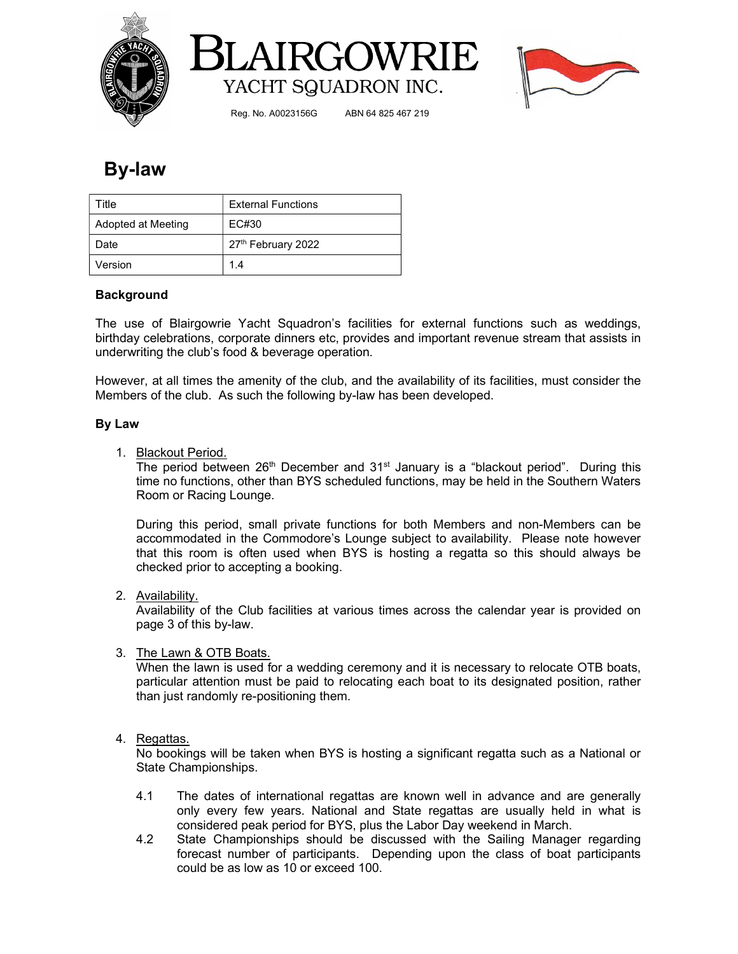





Reg. No. A0023156G ABN 64 825 467 219

## By-law

| Title              | <b>External Functions</b> |  |  |
|--------------------|---------------------------|--|--|
| Adopted at Meeting | EC#30                     |  |  |
| Date               | 27th February 2022        |  |  |
| Version            | 1.4                       |  |  |

## Background

The use of Blairgowrie Yacht Squadron's facilities for external functions such as weddings, birthday celebrations, corporate dinners etc, provides and important revenue stream that assists in underwriting the club's food & beverage operation.

However, at all times the amenity of the club, and the availability of its facilities, must consider the Members of the club. As such the following by-law has been developed.

### By Law

1. Blackout Period.

The period between  $26<sup>th</sup>$  December and  $31<sup>st</sup>$  January is a "blackout period". During this time no functions, other than BYS scheduled functions, may be held in the Southern Waters Room or Racing Lounge.

During this period, small private functions for both Members and non-Members can be accommodated in the Commodore's Lounge subject to availability. Please note however that this room is often used when BYS is hosting a regatta so this should always be checked prior to accepting a booking.

### 2. Availability.

Availability of the Club facilities at various times across the calendar year is provided on page 3 of this by-law.

### 3. The Lawn & OTB Boats.

When the lawn is used for a wedding ceremony and it is necessary to relocate OTB boats, particular attention must be paid to relocating each boat to its designated position, rather than just randomly re-positioning them.

### 4. Regattas.

No bookings will be taken when BYS is hosting a significant regatta such as a National or State Championships.

- 4.1 The dates of international regattas are known well in advance and are generally only every few years. National and State regattas are usually held in what is considered peak period for BYS, plus the Labor Day weekend in March.
- 4.2 State Championships should be discussed with the Sailing Manager regarding forecast number of participants. Depending upon the class of boat participants could be as low as 10 or exceed 100.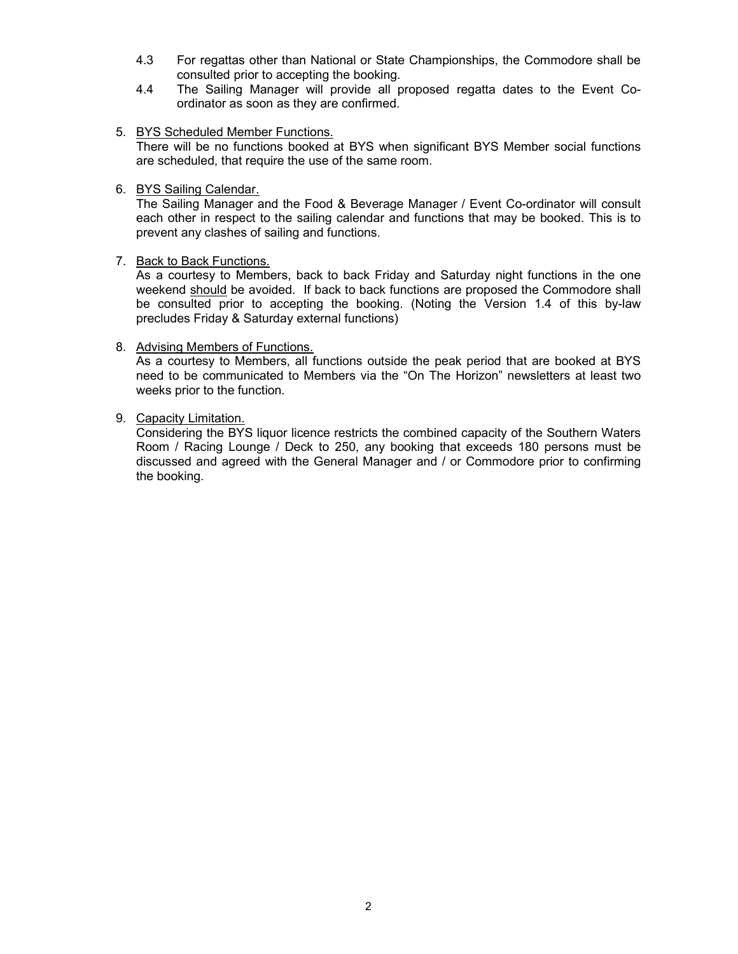- 4.3 For regattas other than National or State Championships, the Commodore shall be consulted prior to accepting the booking.
- 4.4 The Sailing Manager will provide all proposed regatta dates to the Event Coordinator as soon as they are confirmed.
- 5. BYS Scheduled Member Functions.

There will be no functions booked at BYS when significant BYS Member social functions are scheduled, that require the use of the same room.

6. BYS Sailing Calendar.

The Sailing Manager and the Food & Beverage Manager / Event Co-ordinator will consult each other in respect to the sailing calendar and functions that may be booked. This is to prevent any clashes of sailing and functions.

7. Back to Back Functions.

As a courtesy to Members, back to back Friday and Saturday night functions in the one weekend should be avoided. If back to back functions are proposed the Commodore shall be consulted prior to accepting the booking. (Noting the Version 1.4 of this by-law precludes Friday & Saturday external functions)

#### 8. Advising Members of Functions.

As a courtesy to Members, all functions outside the peak period that are booked at BYS need to be communicated to Members via the "On The Horizon" newsletters at least two weeks prior to the function.

#### 9. Capacity Limitation.

Considering the BYS liquor licence restricts the combined capacity of the Southern Waters Room / Racing Lounge / Deck to 250, any booking that exceeds 180 persons must be discussed and agreed with the General Manager and / or Commodore prior to confirming the booking.